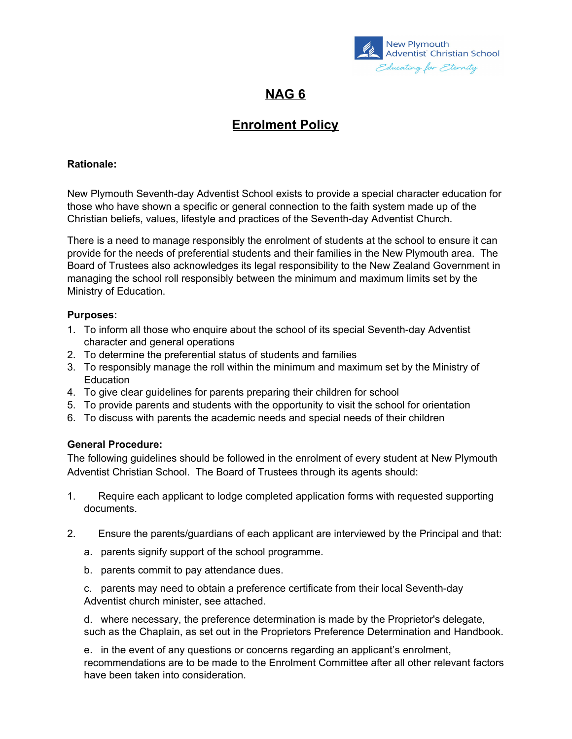

# **NAG 6**

# **Enrolment Policy**

#### **Rationale:**

New Plymouth Seventh-day Adventist School exists to provide a special character education for those who have shown a specific or general connection to the faith system made up of the Christian beliefs, values, lifestyle and practices of the Seventh-day Adventist Church.

There is a need to manage responsibly the enrolment of students at the school to ensure it can provide for the needs of preferential students and their families in the New Plymouth area. The Board of Trustees also acknowledges its legal responsibility to the New Zealand Government in managing the school roll responsibly between the minimum and maximum limits set by the Ministry of Education.

### **Purposes:**

- 1. To inform all those who enquire about the school of its special Seventh-day Adventist character and general operations
- 2. To determine the preferential status of students and families
- 3. To responsibly manage the roll within the minimum and maximum set by the Ministry of Education
- 4. To give clear guidelines for parents preparing their children for school
- 5. To provide parents and students with the opportunity to visit the school for orientation
- 6. To discuss with parents the academic needs and special needs of their children

## **General Procedure:**

The following guidelines should be followed in the enrolment of every student at New Plymouth Adventist Christian School. The Board of Trustees through its agents should:

- 1. Require each applicant to lodge completed application forms with requested supporting documents.
- 2. Ensure the parents/guardians of each applicant are interviewed by the Principal and that:
	- a. parents signify support of the school programme.
	- b. parents commit to pay attendance dues.

c. parents may need to obtain a preference certificate from their local Seventh-day Adventist church minister, see attached.

d. where necessary, the preference determination is made by the Proprietor's delegate, such as the Chaplain, as set out in the Proprietors Preference Determination and Handbook.

e. in the event of any questions or concerns regarding an applicant's enrolment, recommendations are to be made to the Enrolment Committee after all other relevant factors have been taken into consideration.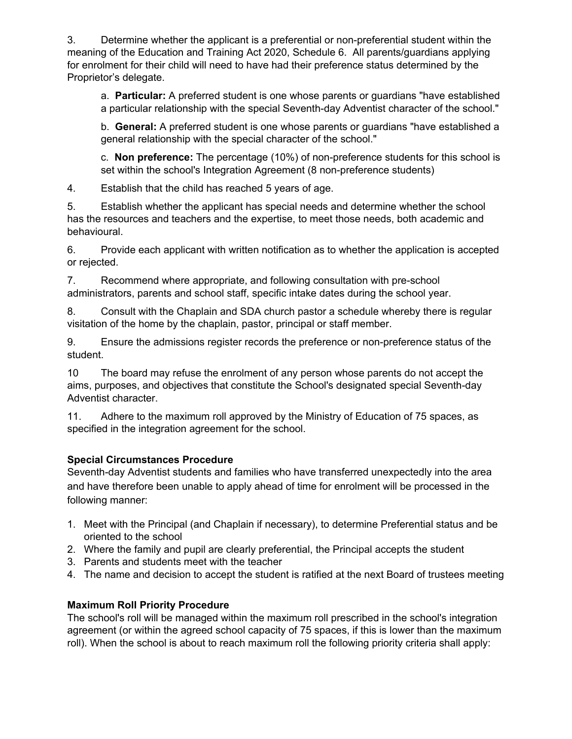3. Determine whether the applicant is a preferential or non-preferential student within the meaning of the Education and Training Act 2020, Schedule 6. All parents/guardians applying for enrolment for their child will need to have had their preference status determined by the Proprietor's delegate.

a. **Particular:** A preferred student is one whose parents or guardians "have established a particular relationship with the special Seventh-day Adventist character of the school."

b. **General:** A preferred student is one whose parents or guardians "have established a general relationship with the special character of the school."

c. **Non preference:** The percentage (10%) of non-preference students for this school is set within the school's Integration Agreement (8 non-preference students)

4. Establish that the child has reached 5 years of age.

5. Establish whether the applicant has special needs and determine whether the school has the resources and teachers and the expertise, to meet those needs, both academic and behavioural.

6. Provide each applicant with written notification as to whether the application is accepted or rejected.

7. Recommend where appropriate, and following consultation with pre-school administrators, parents and school staff, specific intake dates during the school year.

8. Consult with the Chaplain and SDA church pastor a schedule whereby there is regular visitation of the home by the chaplain, pastor, principal or staff member.

9. Ensure the admissions register records the preference or non-preference status of the student.

10 The board may refuse the enrolment of any person whose parents do not accept the aims, purposes, and objectives that constitute the School's designated special Seventh-day Adventist character.

11. Adhere to the maximum roll approved by the Ministry of Education of 75 spaces, as specified in the integration agreement for the school.

## **Special Circumstances Procedure**

Seventh-day Adventist students and families who have transferred unexpectedly into the area and have therefore been unable to apply ahead of time for enrolment will be processed in the following manner:

- 1. Meet with the Principal (and Chaplain if necessary), to determine Preferential status and be oriented to the school
- 2. Where the family and pupil are clearly preferential, the Principal accepts the student
- 3. Parents and students meet with the teacher
- 4. The name and decision to accept the student is ratified at the next Board of trustees meeting

## **Maximum Roll Priority Procedure**

The school's roll will be managed within the maximum roll prescribed in the school's integration agreement (or within the agreed school capacity of 75 spaces, if this is lower than the maximum roll). When the school is about to reach maximum roll the following priority criteria shall apply: